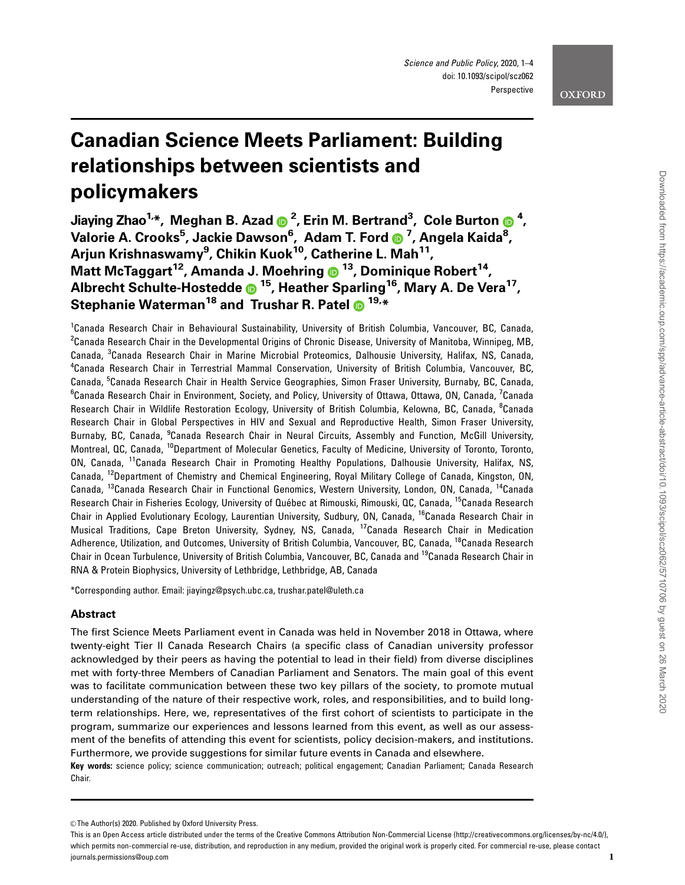# Canadian Science Meets Parliament: Building relationships between scientists and policymakers

Jiaying Zhao1,\*, Meghan B. Azad <sup>2</sup> , Erin M. Bertrand3 , Cole Burton <sup>4</sup> , Valorie A. Crooks<sup>5</sup>, Jackie Dawson<sup>6</sup>, Adam T. Ford <mark>O</mark> <sup>7</sup>, Angela Kaida<sup>8</sup>, Arjun Krishnaswamy<sup>9</sup>, Chikin Kuok<sup>10</sup>, Catherine L. Mah<sup>11</sup>, Matt McTaggart<sup>12</sup>, Amanda J. Moehring  $\odot$  <sup>13</sup>, Dominique Robert<sup>14</sup>, Albrecht Schulte-Hostedde  $\bullet$  <sup>15</sup>, Heather Sparling<sup>16</sup>, Mary A. De Vera<sup>17</sup>, Stephanie Waterman<sup>18</sup> and Trushar R. Patel  $\bullet$  <sup>19,\*</sup>

<sup>1</sup>Canada Research Chair in Behavioural Sustainability, University of British Columbia, Vancouver, BC, Canada,  $^2$ Canada Research Chair in the Developmental Origins of Chronic Disease, University of Manitoba, Winnipeg, MB, Canada, <sup>3</sup>Canada Research Chair in Marine Microbial Proteomics, Dalhousie University, Halifax, NS, Canada, 4 Canada Research Chair in Terrestrial Mammal Conservation, University of British Columbia, Vancouver, BC, Canada, <sup>5</sup>Canada Research Chair in Health Service Geographies, Simon Fraser University, Burnaby, BC, Canada, <sup>6</sup>Canada Research Chair in Environment, Society, and Policy, University of Ottawa, Ottawa, ON, Canada, <sup>7</sup>Canada Research Chair in Wildlife Restoration Ecology, University of British Columbia, Kelowna, BC, Canada, <sup>8</sup>Canada Research Chair in Global Perspectives in HIV and Sexual and Reproductive Health, Simon Fraser University, Burnaby, BC, Canada, <sup>9</sup>Canada Research Chair in Neural Circuits, Assembly and Function, McGill University, Montreal, QC, Canada, <sup>10</sup>Department of Molecular Genetics, Faculty of Medicine, University of Toronto, Toronto, ON, Canada, 11Canada Research Chair in Promoting Healthy Populations, Dalhousie University, Halifax, NS, Canada, 12Department of Chemistry and Chemical Engineering, Royal Military College of Canada, Kingston, ON, Canada, <sup>13</sup>Canada Research Chair in Functional Genomics, Western University, London, ON, Canada, <sup>14</sup>Canada Research Chair in Fisheries Ecology, University of Québec at Rimouski, Rimouski, QC, Canada, <sup>15</sup>Canada Research Chair in Applied Evolutionary Ecology, Laurentian University, Sudbury, ON, Canada, <sup>16</sup>Canada Research Chair in Musical Traditions, Cape Breton University, Sydney, NS, Canada, 17Canada Research Chair in Medication Adherence, Utilization, and Outcomes, University of British Columbia, Vancouver, BC, Canada, <sup>18</sup>Canada Research Chair in Ocean Turbulence, University of British Columbia, Vancouver, BC, Canada and 19Canada Research Chair in RNA & Protein Biophysics, University of Lethbridge, Lethbridge, AB, Canada

\*Corresponding author. Email: jiayingz@psych.ubc.ca, trushar.patel@uleth.ca

## Abstract

The first Science Meets Parliament event in Canada was held in November 2018 in Ottawa, where twenty-eight Tier II Canada Research Chairs (a specific class of Canadian university professor acknowledged by their peers as having the potential to lead in their field) from diverse disciplines met with forty-three Members of Canadian Parliament and Senators. The main goal of this event was to facilitate communication between these two key pillars of the society, to promote mutual understanding of the nature of their respective work, roles, and responsibilities, and to build longterm relationships. Here, we, representatives of the first cohort of scientists to participate in the program, summarize our experiences and lessons learned from this event, as well as our assessment of the benefits of attending this event for scientists, policy decision-makers, and institutions. Furthermore, we provide suggestions for similar future events in Canada and elsewhere.

Key words: science policy; science communication; outreach; political engagement; Canadian Parliament; Canada Research Chair.

<sup>©</sup> The Author(s) 2020. Published by Oxford University Press.

This is an Open Access article distributed under the terms of the Creative Commons Attribution Non-Commercial License (http://creativecommons.org/licenses/by-nc/4.0/), which permits non-commercial re-use, distribution, and reproduction in any medium, provided the original work is properly cited. For commercial re-use, please contact journals.permissions@oup.com 1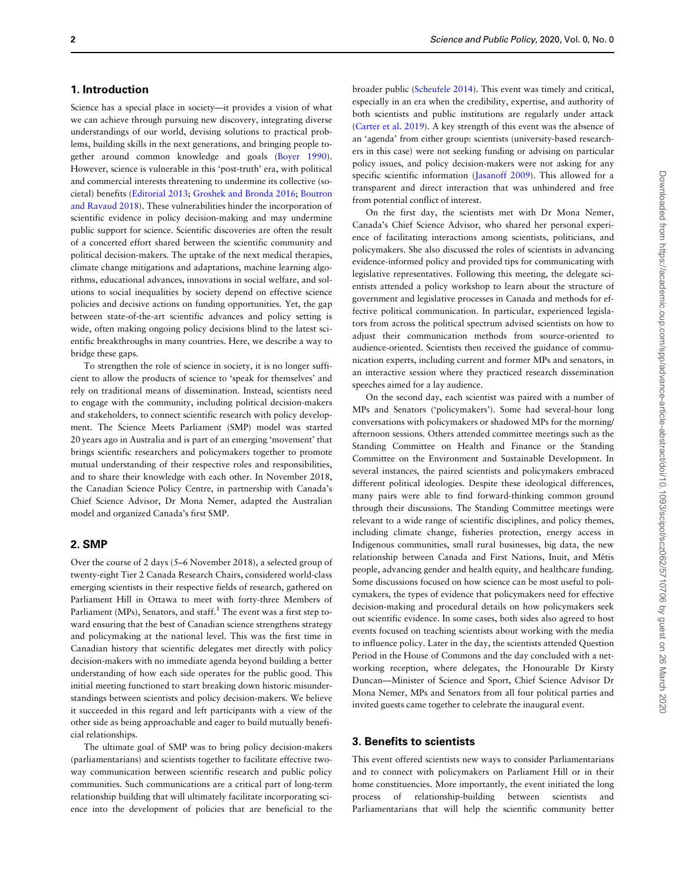## 1. Introduction

Science has a special place in society—it provides a vision of what we can achieve through pursuing new discovery, integrating diverse understandings of our world, devising solutions to practical problems, building skills in the next generations, and bringing people together around common knowledge and goals [\(Boyer 1990](#page-3-0)). However, science is vulnerable in this 'post-truth' era, with political and commercial interests threatening to undermine its collective (societal) benefits ([Editorial 2013](#page-3-0); [Groshek and Bronda 2016](#page-3-0); [Boutron](#page-3-0) [and Ravaud 2018](#page-3-0)). These vulnerabilities hinder the incorporation of scientific evidence in policy decision-making and may undermine public support for science. Scientific discoveries are often the result of a concerted effort shared between the scientific community and political decision-makers. The uptake of the next medical therapies, climate change mitigations and adaptations, machine learning algorithms, educational advances, innovations in social welfare, and solutions to social inequalities by society depend on effective science policies and decisive actions on funding opportunities. Yet, the gap between state-of-the-art scientific advances and policy setting is wide, often making ongoing policy decisions blind to the latest scientific breakthroughs in many countries. Here, we describe a way to bridge these gaps.

To strengthen the role of science in society, it is no longer sufficient to allow the products of science to 'speak for themselves' and rely on traditional means of dissemination. Instead, scientists need to engage with the community, including political decision-makers and stakeholders, to connect scientific research with policy development. The Science Meets Parliament (SMP) model was started 20 years ago in Australia and is part of an emerging 'movement' that brings scientific researchers and policymakers together to promote mutual understanding of their respective roles and responsibilities, and to share their knowledge with each other. In November 2018, the Canadian Science Policy Centre, in partnership with Canada's Chief Science Advisor, Dr Mona Nemer, adapted the Australian model and organized Canada's first SMP.

## 2. SMP

Over the course of 2 days (5–6 November 2018), a selected group of twenty-eight Tier 2 Canada Research Chairs, considered world-class emerging scientists in their respective fields of research, gathered on Parliament Hill in Ottawa to meet with forty-three Members of Parliament (MPs), Senators, and staff.<sup>1</sup> The event was a first step toward ensuring that the best of Canadian science strengthens strategy and policymaking at the national level. This was the first time in Canadian history that scientific delegates met directly with policy decision-makers with no immediate agenda beyond building a better understanding of how each side operates for the public good. This initial meeting functioned to start breaking down historic misunderstandings between scientists and policy decision-makers. We believe it succeeded in this regard and left participants with a view of the other side as being approachable and eager to build mutually beneficial relationships.

The ultimate goal of SMP was to bring policy decision-makers (parliamentarians) and scientists together to facilitate effective twoway communication between scientific research and public policy communities. Such communications are a critical part of long-term relationship building that will ultimately facilitate incorporating science into the development of policies that are beneficial to the

broader public ([Scheufele 2014\)](#page-3-0). This event was timely and critical, especially in an era when the credibility, expertise, and authority of both scientists and public institutions are regularly under attack ([Carter et al. 2019](#page-3-0)). A key strength of this event was the absence of an 'agenda' from either group: scientists (university-based researchers in this case) were not seeking funding or advising on particular policy issues, and policy decision-makers were not asking for any specific scientific information ([Jasanoff 2009](#page-3-0)). This allowed for a transparent and direct interaction that was unhindered and free from potential conflict of interest.

On the first day, the scientists met with Dr Mona Nemer, Canada's Chief Science Advisor, who shared her personal experience of facilitating interactions among scientists, politicians, and policymakers. She also discussed the roles of scientists in advancing evidence-informed policy and provided tips for communicating with legislative representatives. Following this meeting, the delegate scientists attended a policy workshop to learn about the structure of government and legislative processes in Canada and methods for effective political communication. In particular, experienced legislators from across the political spectrum advised scientists on how to adjust their communication methods from source-oriented to audience-oriented. Scientists then received the guidance of communication experts, including current and former MPs and senators, in an interactive session where they practiced research dissemination speeches aimed for a lay audience.

On the second day, each scientist was paired with a number of MPs and Senators ('policymakers'). Some had several-hour long conversations with policymakers or shadowed MPs for the morning/ afternoon sessions. Others attended committee meetings such as the Standing Committee on Health and Finance or the Standing Committee on the Environment and Sustainable Development. In several instances, the paired scientists and policymakers embraced different political ideologies. Despite these ideological differences, many pairs were able to find forward-thinking common ground through their discussions. The Standing Committee meetings were relevant to a wide range of scientific disciplines, and policy themes, including climate change, fisheries protection, energy access in Indigenous communities, small rural businesses, big data, the new relationship between Canada and First Nations, Inuit, and Métis people, advancing gender and health equity, and healthcare funding. Some discussions focused on how science can be most useful to policymakers, the types of evidence that policymakers need for effective decision-making and procedural details on how policymakers seek out scientific evidence. In some cases, both sides also agreed to host events focused on teaching scientists about working with the media to influence policy. Later in the day, the scientists attended Question Period in the House of Commons and the day concluded with a networking reception, where delegates, the Honourable Dr Kirsty Duncan—Minister of Science and Sport, Chief Science Advisor Dr Mona Nemer, MPs and Senators from all four political parties and invited guests came together to celebrate the inaugural event.

## 3. Benefits to scientists

This event offered scientists new ways to consider Parliamentarians and to connect with policymakers on Parliament Hill or in their home constituencies. More importantly, the event initiated the long process of relationship-building between scientists and Parliamentarians that will help the scientific community better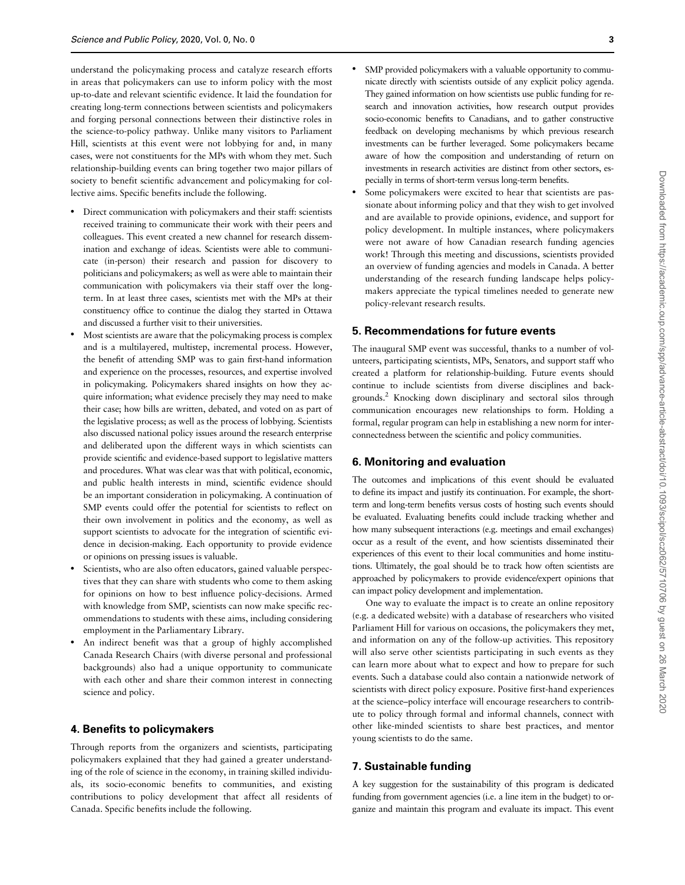understand the policymaking process and catalyze research efforts in areas that policymakers can use to inform policy with the most up-to-date and relevant scientific evidence. It laid the foundation for creating long-term connections between scientists and policymakers and forging personal connections between their distinctive roles in the science-to-policy pathway. Unlike many visitors to Parliament Hill, scientists at this event were not lobbying for and, in many cases, were not constituents for the MPs with whom they met. Such relationship-building events can bring together two major pillars of society to benefit scientific advancement and policymaking for collective aims. Specific benefits include the following.

- Direct communication with policymakers and their staff: scientists received training to communicate their work with their peers and colleagues. This event created a new channel for research dissemination and exchange of ideas. Scientists were able to communicate (in-person) their research and passion for discovery to politicians and policymakers; as well as were able to maintain their communication with policymakers via their staff over the longterm. In at least three cases, scientists met with the MPs at their constituency office to continue the dialog they started in Ottawa and discussed a further visit to their universities.
- Most scientists are aware that the policymaking process is complex and is a multilayered, multistep, incremental process. However, the benefit of attending SMP was to gain first-hand information and experience on the processes, resources, and expertise involved in policymaking. Policymakers shared insights on how they acquire information; what evidence precisely they may need to make their case; how bills are written, debated, and voted on as part of the legislative process; as well as the process of lobbying. Scientists also discussed national policy issues around the research enterprise and deliberated upon the different ways in which scientists can provide scientific and evidence-based support to legislative matters and procedures. What was clear was that with political, economic, and public health interests in mind, scientific evidence should be an important consideration in policymaking. A continuation of SMP events could offer the potential for scientists to reflect on their own involvement in politics and the economy, as well as support scientists to advocate for the integration of scientific evidence in decision-making. Each opportunity to provide evidence or opinions on pressing issues is valuable.
- Scientists, who are also often educators, gained valuable perspectives that they can share with students who come to them asking for opinions on how to best influence policy-decisions. Armed with knowledge from SMP, scientists can now make specific recommendations to students with these aims, including considering employment in the Parliamentary Library.
- An indirect benefit was that a group of highly accomplished Canada Research Chairs (with diverse personal and professional backgrounds) also had a unique opportunity to communicate with each other and share their common interest in connecting science and policy.

## 4. Benefits to policymakers

Through reports from the organizers and scientists, participating policymakers explained that they had gained a greater understanding of the role of science in the economy, in training skilled individuals, its socio-economic benefits to communities, and existing contributions to policy development that affect all residents of Canada. Specific benefits include the following.

- SMP provided policymakers with a valuable opportunity to communicate directly with scientists outside of any explicit policy agenda. They gained information on how scientists use public funding for research and innovation activities, how research output provides socio-economic benefits to Canadians, and to gather constructive feedback on developing mechanisms by which previous research investments can be further leveraged. Some policymakers became aware of how the composition and understanding of return on investments in research activities are distinct from other sectors, especially in terms of short-term versus long-term benefits.
- Some policymakers were excited to hear that scientists are passionate about informing policy and that they wish to get involved and are available to provide opinions, evidence, and support for policy development. In multiple instances, where policymakers were not aware of how Canadian research funding agencies work! Through this meeting and discussions, scientists provided an overview of funding agencies and models in Canada. A better understanding of the research funding landscape helps policymakers appreciate the typical timelines needed to generate new policy-relevant research results.

## 5. Recommendations for future events

The inaugural SMP event was successful, thanks to a number of volunteers, participating scientists, MPs, Senators, and support staff who created a platform for relationship-building. Future events should continue to include scientists from diverse disciplines and backgrounds.2 Knocking down disciplinary and sectoral silos through communication encourages new relationships to form. Holding a formal, regular program can help in establishing a new norm for interconnectedness between the scientific and policy communities.

#### 6. Monitoring and evaluation

The outcomes and implications of this event should be evaluated to define its impact and justify its continuation. For example, the shortterm and long-term benefits versus costs of hosting such events should be evaluated. Evaluating benefits could include tracking whether and how many subsequent interactions (e.g. meetings and email exchanges) occur as a result of the event, and how scientists disseminated their experiences of this event to their local communities and home institutions. Ultimately, the goal should be to track how often scientists are approached by policymakers to provide evidence/expert opinions that can impact policy development and implementation.

One way to evaluate the impact is to create an online repository (e.g. a dedicated website) with a database of researchers who visited Parliament Hill for various on occasions, the policymakers they met, and information on any of the follow-up activities. This repository will also serve other scientists participating in such events as they can learn more about what to expect and how to prepare for such events. Such a database could also contain a nationwide network of scientists with direct policy exposure. Positive first-hand experiences at the science–policy interface will encourage researchers to contribute to policy through formal and informal channels, connect with other like-minded scientists to share best practices, and mentor young scientists to do the same.

## 7. Sustainable funding

A key suggestion for the sustainability of this program is dedicated funding from government agencies (i.e. a line item in the budget) to organize and maintain this program and evaluate its impact. This event